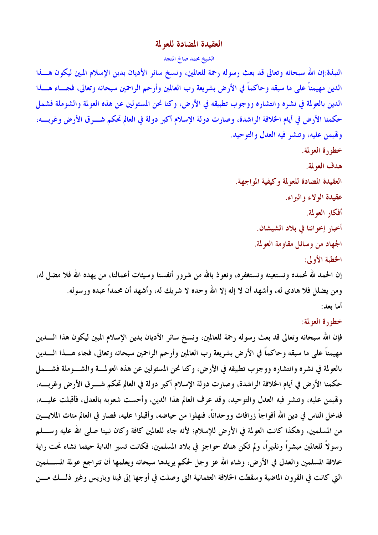## العقيدة المضادة للعولمة

## الشيخ محمد صالح المنجد

النبذة:إن الله سبحانه وتعالى قد بعث رسوله رحمة للعالمين، ونسخ سائر الأديان بدين الإسلام المبين ليكون هسذا الدين مهيمناً على ما سبقه وحاكماً في الأرض بشريعة رب العالمين وأرحم الراحمين سبحانه وتعالى، فجـــاء هــــذا الدين بالعولمة في نشره وانتشاره ووجوب تطبيقه في الأرض، وكنا نحن المسئولين عن هذه العولمة والشوملة فشمل حكمنا الأرض في أيام الخلافة الراشدة، وصارت دولة الإسلام أكبر دولة في العالم تحكم شـــرق الأرض وغربــــه، وقيمن عليه، وتنشر فيه العدل والتوحيد.

## خطورة العولمة.

هدف العولمة.

العقيدة المضادة للعولمة وكيفية المواجهة.

عقيدة الولاء والبراء.

أفكار العولمة.

أخبار إخواننا في بلاد الشيشان.

الجهاد من وسائل مقاومة العولمة.

الخطبة الأولى:

إن الحمد لله نحمده ونستعينه ونستغفره، ونعوذ بالله من شرور أنفسنا وسيئات أعمالنا، من يهده الله فلا مضل له، ومن يضلل فلا هادي له، وأشهد أن لا إله إلا الله وحده لا شريك له، وأشهد أن محمداً عبده ورسوله. أما يعد:

خطورة العولمة:

فإن الله سبحانه وتعالى قد بعث رسوله رحمة للعالمين، ونسخ سائر الأديان بدين الإسلام المبين ليكون هذا الــــدين مهيمناً على ما سبقه وحاكماً في الأرض بشريعة رب العالمين وأرحم الراحمين سبحانه وتعالى، فجاء هــــذا الـــــدين بالعولمة في نشره وانتشاره ووجوب تطبيقه في الأرض، وكنا نحن المسئولين عن هذه العولمة والشـوملة فشـــمل حكمنا الأرض في أيام الخلافة الراشدة، وصارت دولة الإسلام أكبر دولة في العالم تحكم شــــرق الأرض وغربــــه، وقيمن عليه، وتنشر فيه العدل والتوحيد، وقد عرف العالم هذا الدين، وأحست شعوبه بالعدل، فأقبلت عليــه، فدخل الناس في دين الله أفواجاً زرافات ووحداناً، فنهلوا من حياضه، وأقبلوا عليه، فصار في العالم مئات الملايــــين من المسلمين، وهكذا كانت العولمة في الأرض للإسلام؛ لأنه جاء للعالمين كافة وكان نبينا صلى الله عليه وســــلم رسولاً للعالمين مبشراً ونذيراً، ولم تكن هناك حواجز في بلاد المسلمين، فكانت تسير الدابة حيثما تشاء تحت راية خلافة المسلمين والعدل في الأرض، وشاء الله عز وجل لحكم يويدها سبحانه ويعلمها أن تتواجع عولمة المســـلمين التي كانت في القرون الماضية وسقطت الخلافة العثمانية التي وصلت في أوجها إلى فينا وباريس وغير ذلــك مـــن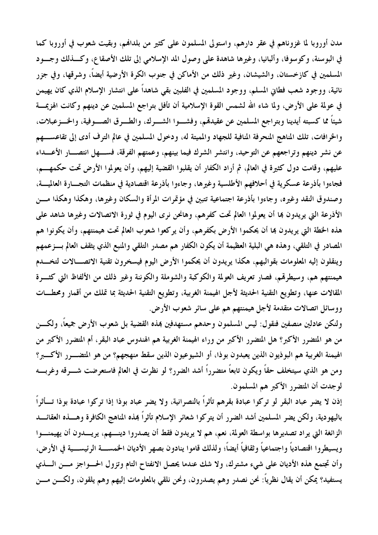مدن أوروبا لما غزوناهم في عقر دارهم، واستولى المسلمون على كثيرٍ من بلدالهم، وبقيت شعوب في أوروبا كما في البوسنة، وكوسوفًا، وألبانيا، وغيرها شاهدة على وصول المد الإسلامي إلى تلك الأصقاع، وكــذلك وجــود المسلمين في كازخستان، والشيشان، وغير ذلك من الأماكن في جنوب الكرة الأرضية أيضاً، وشرقها، وفي جزر نائية، ووجود شعب فطاني المسلم، ووجود المسلمين في الفلبين بقي شاهداً على انتشار الإسلام الذي كان يهيمن في عولمة على الأرض، ولما شاء الله لشمس القوة الإسلامية أن تأفل بتراجع المسلمين عن دينهم وكانت الهزيمـــة شيئاً مما كسبته أيدينا وبتراجع المسلمين عن عقيدلهم، وفشــوا الشـــرك، والطـــرق الصـــوفية، والخـــزعبلات، والخرافات، تلك المناهج المنحرفة المنافية للجهاد والمميتة له، ودخول المسلمين في عالم الترف أدى إلى تقاعســـهم عن نشر دينهم وتراجعهم عن التوحيد، وانتشر الشرك فيما بينهم، وعمتهم الفرقة، فســـهل انتصـــار الأعـــداء عليهم، وقامت دول كثيرة في العالم، ثم أراد الكفار أن يقلبوا القضية إليهم، وأن يعولموا الأرض تحت حكمهــــم، فجاءوا بأذرعة عسكرية في أحلافهم الأطلسية وغيرها، وجاءوا بأذرعة اقتصادية في منظمات التجــارة العالميـــة، وصندوق النقد وغيره، وجاءوا بأذرعة اجتماعية تتبين في مؤتمرات المرأة والسكان وغيرها، وهكذا وهكذا مسن الأذرعة التي يريدون بما أن يعولموا العالم تحت كفرهم، وهانحن نرى اليوم في ثورة الاتصالات وغيرها شاهد على هذه الخطة التي يريدون بما أن يحكموا الأرض بكفرهم، وأن يركعوا شعوب العالم تحت هيمنتهم، وأن يكونوا هم المصادر في التلقي، وهذه هي البلية العظيمة أن يكون الكفار هم مصدر التلقي والمنبع الذي يثقف العالم بسزعمهم وينقلون إليه المعلومات بقوالبهم، هكذا يريدون أن يحكموا الأرض اليوم فيسخرون تقنية الاتصـــالات لتخـــدم هيمنتهم هم، وسيطرقم، فصار تعريف العولمة والكوكبة والشوملة والكوننة وغير ذلك من الألفاظ التي كثـــرة المقالات عنها، وتطويع التقنية الحديثة لأجل الهيمنة الغربية، وتطويع التقنية الحديثة بما تملك من أقمار ومحطـــات ووسائل اتصالات متقدمة لأجل هيمنتهم هم على سائر شعوب الأرض.

ولنكن عادلين منصفين فنقول: ليس المسلمون وحدهم مستهدفين بمذه القضية بل شعوب الأرض جميعاً، ولكـــن من هو المتضرر الأكبر؟ هل المتضرر الأكبر من وراء الهيمنة الغربية هم الهندوس عباد البقر، أم المتضرر الأكبر من الهيمنة الغربية هم البوذيون الذين يعبدون بوذا، أو الشيوعيون الذين سقط منهجهم؟ من هو المتضـــرر الأكــــبر؟ ومن هو الذي سيتخلف حقاً ويكون تابعاً متضرراً أشد الضرر؟ لو نظرت في العالم فاستعرضت شـــرقه وغربــــه لوجدت أن المتضرر الأكبر هم المسلمون.

إذن لا يضر عباد البقر لو تركوا عبادة بقرهم تأثراً بالنصرانية، ولا يضر عباد بوذا إذا تركوا عبادة بوذا تــأثراً باليهودية، ولكن يضر المسلمين أشد الضرر أن يتركوا شعائر الإسلام تأثراً بمذه المناهج الكافرة وهـــذه العقائـــد الزائغة التي يراد تصديرها بواسطة العولمة، نعم، هم لا يريدون فقط أن يصدروا دينـــهم، يريـــدون أن يهيمنـــوا ويسيطروا اقتصادياً واجتماعياً وثقافياً أيضاً؛ ولذلك قاموا ينادون بصهر الأديان الخمســـة الرئيســـية في الأرض، وأن تجتمع هذه الأديان على شيء مشترك، ولا شك عندما يحصل الانفتاح التام وتزول الحسواجز مسن السذي يستفيد؟ يمكن أن يقال نظرياً: نحن نصدر وهم يصدرون، ونحن نلقي بالمعلومات إليهم وهم يلقون، ولكـــن مـــن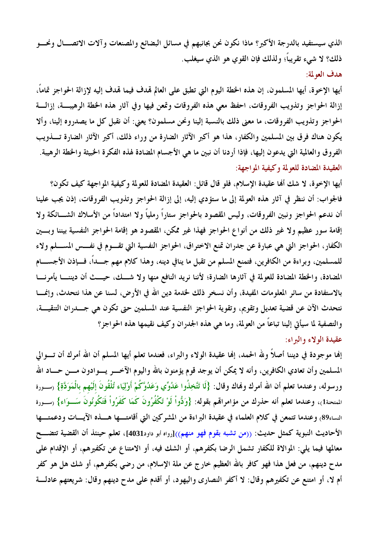الذي سيستفيد بالدرجة الأكبر؟ ماذا نكون نحن بجانبهم في مسائل البضائع والمصنعات وآلات الاتصـــال ونحـــو ذلك؟ لا شيء تقريباً؛ ولذلك فإن القوى هو الذي سيغلب. هدف العولمة:

أيها الإخوة، أيها المسلمون، إن هذه الخطة اليوم التي تطبق على العالم لهدف فيما لهدف إليه لإزالة الحواجز تماماً، إزالة الحواجز وتذويب الفروقات، احفظ معي هذه الفروقات وتمعن فيها وفي آثار هذه الخطة الرهيبة، إزالــة الحواجز وتذويب الفروقات، ما معنى ذلك بالنسبة إلينا ونحن مسلمون؟ يعني: أن نقبل كل ما يصدروه إلينا، وألا يكون هناك فرق بين المسلمين والكفار، هذا هو أكبر الآثار الضارة من وراء ذلك، أكبر الآثار الضارة تــــذويب الفروق والعالمية التي يدعون إليها، فإذا أردنا أن نبين ما هي الأجسام المضادة لهذه الفكرة الخبيثة والخطة الرهيبة. العقيدة المضادة للعولمة وكيفية المواجهة:

أيها الإخوة، لا شك ألها عقيدة الإسلام، فلو قال قائل: العقيدة المضادة للعولمة وكيفية المواجهة كيف تكون؟ فالجواب: أن ننظر في آثار هذه العولمة إلى ما ستؤدي إليه، إلى إزالة الحواجز وتذويب الفروقات، إذن يجب علينا أن ندعم الحواجز ونبين الفروقات، وليس المقصود بالحواجز ستاراً رملياً ولا امتداداً من الأسلاك الشـــائكة ولا إقامة سور عظيم ولا غير ذلك من أنواع الحواجز فهذا غير ممكن، المقصود هو إقامة الحواجز النفسية بيننا وبسين الكفار، الحواجز التي هي عبارة عن جدران تمنع الاختراق، الحواجز النفسية التي تقــوم في نفــس المســلم ولاء للمسلمين، وبراءة من الكافرين، فتمنع المسلم من تقبل ما ينافي دينه، وهذا كلام مهم جـــداً، فـــإذن الأجســــام المضادة، والخطة المضادة للعولمة في آثارها الضارة؛ لأننا نريد النافع منها ولا شـــك، حيـــث أن ديننـــا يأمرنـــا بالاستفادة من سائر المعلومات المفيدة، وأن نسخر ذلك لخدمة دين الله في الأرض، لسنا عن هذا نتحدث، وإنمـــا نتحدث الآن عن قضية تعديل وتقويم، وتقوية الحواجز النفسية عند المسلمين حتى تكون هي جـــدران التنقيـــة، والتصفية لما سيأتي إلينا تباعاً من العولمة، وما هي هذه الجدران وكيف نقيمها هذه الحواجز؟ عقيدة الولاء والبراء:

إنها موجودة في ديننا أصلاً ولله الحمد، إنها عقيدة الولاء والبراء، فعندما تعلم أيها المسلم أن الله أمرك أن تـــوالى المسلمين وأن تعادي الكافرين، وأنه لا يمكن أن يوجد قوم يؤمنون بالله واليوم الآخـــر يـــوادون مـــن حـــاد الله ورسوله، وعندما تعلم أن الله أمرك وفماك وقال: {لَا تَتَّخِذُوا عَدُوِّي وَعَدُوَّكُمْ أَوْلِيَاء تُلْقُونَ إلَيْهم بالْمَوَدَّةِ} رسـورة المتحنة1)، وعندما تعلم أنه حذرك من مؤامراهم بقوله: {وَدُّواْ لَوْ تَكْفُرُونَ كَمَا كَفَرُواْ فَتَكُونُونَ سَــوَاء} (ســورة النساء89) وعندما تتمعن في كلام العلماء في عقيدة البراءة من المشركين التي أقامتـــها هـــذه الآيـــات ودعمتـــها الأحاديث النبوية كمثل حديث: ((من تشبه بقوم فهو منهم))[رواه أبو داود4031]، تعلم حينئذ أن القضية تتضـــح معالمها فيما يلي: الموالاة للكفار تشمل الرضا بكفرهم، أو الشك فيه، أو الامتناع عن تكفيرهم، أو الإقدام على مدح دينهم، من فعل هذا فهو كافر بالله العظيم خارج عن ملة الإسلام، من رضي بكفرهم، أو شك هل هو كفر أم لا، أو امتنع عن تكفيرهم وقال: لا أكفر النصاري واليهود، أو أقدم على مدح دينهم وقال: شريعتهم عادلة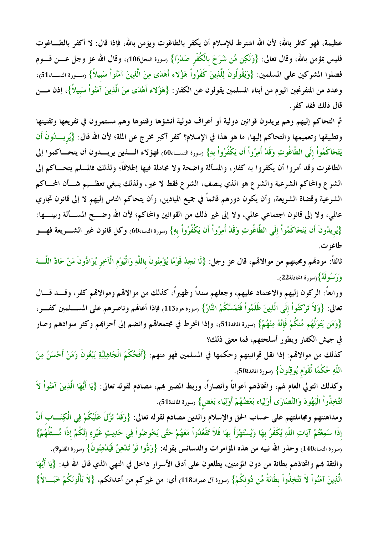عظيمة، فهو كافر بالله؛ لأن الله اشترط للإسلام أن يكفر بالطاغوت ويؤمن بالله، فإذا قال: لا أكفر بالطـــاغوت فليس بمؤمن بالله، وقال تعالى: {وَلَكِن مَّن شَرَحَ بِالْكُفْرِ صَدْرًا} (سورة النحل106)، وقال الله عز وجل عــــن قــــوم فضلوا المشركين على المسلمين: {وَيَقُولُونَ لِلَّذِينَ كَفَرُواْ هَؤُلاء أَهْدَى مِنَ الَّذِينَ آمَنُواْ سَبيلاً} (سـورة النســاء51)، وعدد من المتفرنجين اليوم من أبناء المسلمين يقولون عن الكفار: {هَؤُلاء أَهْدَى مِنَ الَّذِينَ آمَنُواْ سَبيلاً}، إذن مــــن قال ذلك فقد كفر .

ثم التحاكم إليهم وهم يريدون قوانين دولية أو أعراف دولية أنشؤها وقننوها وهم مستمرون في تفريعها وتقنينها وتطبيقها وتعميمها والتحاكم إليها، ما هو هذا في الإسلام؟ كفر أكبر مخرج عن الملة؛ لأن الله قال: {يُرِيسُدُونَ أن يَتَحَاكَمُواْ إلَى الطَّاغُوتِ وَقَدْ أُمِرُواْ أَن يَكْفُرُواْ بهِ} رسورة النســـاء60) فهؤلاء الــــذين يريــــدون أن يتحــــاكموا إلى الطاغوت وقد أمروا أن يكفروا به كفار، والمسألة واضحة ولا مجاملة فيها إطلاقاً؛ ولذلك فالمسلم يتحـــاكم إلى الشرع والمحاكم الشرعية والشرع هو الذي ينصف، الشرع فقط لا غير، ولذلك ينبغي تعظــيم شــأن المحــاكم الشرعية وقضاة الشريعة، وأن يكون دورهم قائماً في جميع الميادين، وأن يتحاكم الناس إليهم لا إلى قانون تجاري عالمي، ولا إلى قانون اجتماعي عالمي، ولا إلى غير ذلك من القوانين والمحاكم؛ لأن الله وضـــح المســألة وبينــــها: {يُرِيدُونَ أَن يَتَحَاكَمُواْ إلَى الطَّاغُوتِ وَقَدْ أُمِرُواْ أَن يَكْفُرُواْ بهِ} (سورة النساء60) وكل قانون غير الشــــريعة فهــــو طاغوت.

ثالثاً: مودمِّم ومحبتهم من موالاهْم، قال عز وجل: {لَا تَجِدُ قَوْمًا يُؤْمِنُونَ باللَّهِ وَالْيَوْم الْآخِر يُوَادُّونَ مَنْ حَادَّ اللَّـــهَ وَرَسُولَهُ}(سورة المجادلة22).

ورابعاً: الركون إليهم والاعتماد عليهم، وجعلهم سنداً وظهيراً، كذلك من موالاقمم وموالاقم كفر، وقـــد قـــال تعالى: {وَلاَ تَرْكَنُواْ إِلَى الَّذِينَ ظَلَمُواْ فَتَمَسَّكُمُ النَّارُ} (سورة هود113) فإذا أعالهم وناصرهم على المســـلمين كفــــر، {وَمَن يَتَوَلَّهُم مِّنكُمْ فَإِنَّهُ مِنْهُمْ} (سورة المائدة51)، وإذا انخرط في مجتمعاقمم وانضم إلى أحزاهمم وكثر سوادهم وصار في جيش الكفار ويطور أسلحتهم، فما معنى ذلك؟

كذلك من موالاقمم: إذا نقل قوانينهم وحكمها في المسلمين فهو منهم: {أَفَحُكْمَ الْجَاهِلِيَّةِ يَبْغُونَ وَمَنْ أَحْسَنُ مِنَ اللَّهِ حُكْمًا لِّقَوْمٍ يُوقِنُونَ} (سورة المائدة50).

وكذلك التولي العام لهم، واتخاذهم أعواناً وأنصاراً، وربط المصير بمم، مصادم لقوله تعالى: {يَا أَيُّهَا الَّذِينَ آمَنُواْ لاَ تَتَّخِذُواْ الْيَهُودَ وَالنَّصَارَى أَوْلِيَاء بَعْضُهُمْ أَوْلِيَاء بَعْضٌ} (سورة المائدة51).

ومداهنتهم ومجاملتهم على حساب الحق والإسلام والدين مصادم لقوله تعالى: {وَقَدْ نَزَّلَ عَلَيْكُمْ فِي الْكِتَـــاب أَنْ إذَا سَمِعْتُمْ آيَاتِ اللَّهِ يُكَفَرُ بهَا وَيُسْتَهْزَأُ بهَا فَلاَ تَقْعُدُواْ مَعَهُمْ حَتَّى يَخُوضُواْ فِي حَدِيثٍ غَيْرِهِ إنَّكُمْ إذًا مِّــثْلُهُمْ} رسورة النساء140) وحذر الله نبيه من هذه المؤامرات والدسائس بقوله: {وَدُّوا لَوْ تُدْهِنُ فَيُدْهِنُونَ} رسورة القلم9). والثقة بمم واتخاذهم بطانة من دون المؤمنين، يطلعون على أدق الأسرار داخل في النهي الذي قال الله فيه: {يَا أَيُّهَا الَّذِينَ آمَنُواْ لاَ تَتَّخِذُواْ بطَانَةً مِّن دُونكُمْ} (سورة آل عمران118) أي: من غيركم من أعدائكم، {لاَ يَأْلُونَكُمْ خَبَـــالاً}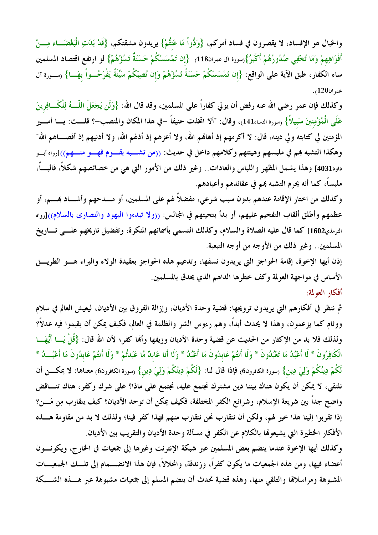والحبال هو الإفساد، لا يقصرون في فساد أمركم، {وَدُّواْ مَا عَنتُمْ} يريدون مشقتكم، {قَدْ بَدَتِ الْبَغْضَـــاء مِـــنْ أَفْوَاهِهِمْ وَمَا تُخْفِي صُدُورُهُمْ أَكْبَرُ}(سورة آل عمران118) {إنْ تَمْسَسْكُمْ حَسَنَةٌ تَسُؤْهُمْ} لو ارتفع اقتصاد المسلمين ساء الكفار، طبق الآية على الواقع: {إن تَمْسَسْكُمْ حَسَنَةٌ تَسُؤْهُمْ وَإِن تُصِبْكُمْ سَيِّئَةٌ يَفْرَحُــواْ بهَـــا} (ســورة آل عمران120).

وكذلك فإن عمر رضي الله عنه رفض أن يولي كفاراً على المسلمين، وقد قال الله: {وَلَن يَجْعَلَ اللَّـــهُ لِلْكَـــافِرينَ عَلَى الْمُؤْمِنِينَ سَبِيلاً} (سورة النساء141)، وقال: "ألا اتخذت حنيفاً –في هذا المكان والمنصب–؟ قلـــت: يـــا أمــــير المؤمنين لي كتابته ولي دينه، قال: لا أكرمهم إذ أهافمم الله، ولا أعزهم إذ أذلهم الله، ولا أدنيهم إذ أقصــــاهم الله" وهكذا التشبه بمم في ملبسهم وهيئتهم وكلامهم داخل في حديث: ((من تشـــبه بقـــوم فهـــو منـــهم))[رواه أبــو داود4031] وهذا يشمل المظهر واللباس والعادات.. وغير ذلك من الأمور التي هي من خصائصهم شكلاً، قالبــــاً، ملبساً، كما أنه يحرم التشبه هم في عقائدهم وأعيادهم.

وكذلك من اختار الإقامة عندهم بدون سبب شرعي، مفضلاً لهم على المسلمين، أو مـــدحهم وأشـــاد بمـــم، أو عظمهم وأطلق ألقاب التفخيم عليهم، أو بدأ بتحيتهم في المجالس: ((ولا تبدءوا اليهود والنصارى بالسلام))[رواه الترمذي1602] كما قال عليه الصلاة والسلام، وكذلك التسمى بأسمائهم المنكرة، وتفضيل تاريخهم علـــي تـــاريخ المسلمين . وغير ذلك من الأوجه من أوجه التبعية.

إذن أيها الإخوة، إقامة الحواجز التي يريدون نسفها، وتدعيم هذه الحواجز بعقيدة الولاء والبراء هسو الطريسق الأساس في مواجهة العولمة وكف خطرها الداهم الذي يحدق بالمسلمين.

أفكار العولمة:

ثم ننظر في أفكارهم التي يريدون ترويجها: قضية وحدة الأديان، وإزالة الفروق بين الأديان، ليعيش العالم في سلام ووئام كما يزعمون، وهذا لا يحدث أبداً، وهم رءوس الشر والظلمة في العالم، فكيف يمكن أن يقيموا فيه عدلاً؟ ولذلك فلا بد من الإكثار من الحديث عن قضية وحدة الأديان وزيفها وألها كفر؛ لأن الله قال: {قُلْ يَــا أَيُّهَـــا الْكَافِرُونَ \* لَا أَعْبُدُ مَا تَعْبُدُونَ \* وَلَا أَنتُمْ عَابدُونَ مَا أَعْبُدُ \* وَلَا أَنَا عَابدٌ مَّا عَبَدتُمْ \* وَلَا أَنتُمْ عَابدُونَ مَا أَعْبُـــدُ \* لَكُمْ دِينُكُمْ وَلِيَ دِينٍ} (سورة الكافرون6) فإذا قال لنا: {لَكُمْ دِينُكُمْ وَلِيَ دِينٍ} (سورة الكافرون6) معناها: لا يمكــــن أن نلتقي، لا يمكن أن يكون هناك بيننا دين مشترك نجتمع عليه، نجتمع على ماذا؟ على شرك وكفر، هناك تنــاقض واضح جداً بين شريعة الإسلام، وشرائع الكفر المختلفة، فكيف يمكن أن توحد الأديان؟ كيف يتقارب مِن مَـــن؟ إذا تقربوا إلينا هذا خير لهم، ولكن أن نتقارب نحن نتقارب منهم فهذا كفر فينا؛ ولذلك لا بد من مقاومة هـــذه الأفكار الخطيرة التي يشيعوها بالكلام عن الكفر في مسألة وحدة الأديان والتقريب بين الأديان.

وكذلك أيها الإخوة عندما ينضم بعض المسلمين عبر شبكة الإنترنت وغيرها إلى جمعيات في الخارج، ويكونـــون أعضاء فيها، ومن هذه الجمعيات ما يكون كفراً، وزندقة، وانحلالاً، فإن هذا الانضـــمام إلى تلـــك الجمعيـــات المشبوهة ومراسلاقما والتلقى منها، وهذه قضية تحدث أن ينضم المسلم إلى جمعيات مشبوهة عبر هـــذه الشـــبكة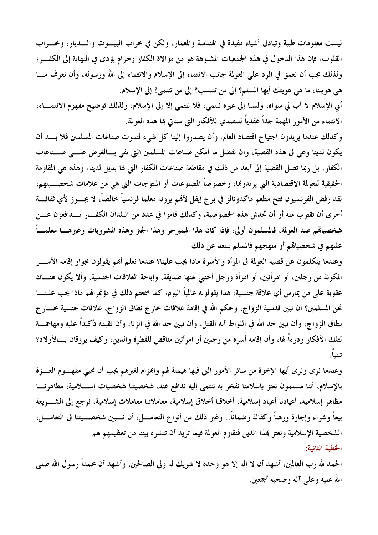ليست معلومات طبية وتبادل أشياء مفيدة في الهندسة والمعمار، ولكن في خراب البيـــوت والــــديار، وخــــراب القلوب، فإن هذا الدخول في هذه الجمعيات المشبوهة هو من موالاة الكفار وحرام يؤدي في النهاية إلى الكفسر؛ ولذلك يجب أن نعمق في الرد على العولمة جانب الانتماء إلى الإسلام والانتماء إلى الله ورسوله، وأن نعرف مـــا هي هويتنا، ما هي هويتك أيها المسلم؟ إلى من تنتسب؟ إلى من تنتمي؟ إلى الإسلام.

أبي الإسلام لا أب لي سواه، ولسنا إلى غيره ننتمي، فلا ننتمي إلا إلى الإسلام، ولذلك توضيح مفهوم الانتمــاء، الانتماء من الأمور المهمة جداً عقدياً للتصدي للأفكار التي ستأتى هٖا هذه العولمة.

وكذلك عندما يريدون اجتياح اقتصاد العالم، وأن يصدروا إلينا كل شيء لتموت صناعات المسلمين فلا بسد أن يكون لدينا وعي في هذه القضية، وأن نفضل ما أمكن صناعات المسلمين التي تفي بسالغرض علسي صسناعات الكفار، بل ربما تصل القضية إلى أبعد من ذلك في مقاطعة صناعات الكفار التي لها بديل لدينا، وهذه هي المقاومة الحقيقية للعولمة الاقتصادية التي يريدوها، وخصوصاً المصنوعات أو المنتوجات التي هي من علامات شخصـــيتهم، لقد رفض الفرنسيون فتح مطعم ماكدونالز في برج إيفل لأفمم يرونه معلماً فرنسياً خالصاً، لا يجـــوز لأي ثقافـــة أخرى أن تقترب منه أو أن تخدش هذه الخصوصية، وكذلك قاموا في عدد من البلدان الكفــار يـــدافعون عــــن شخصياقم ضد العولمة، فالمسلمون أولى، فإذا كان هذا الهمبرجر وهذا الجنز وهذه المشروبات وغيرهـــا معلمـــاً عليهم في شخصيالهم أو منهجهم فالمسلم يبتعد عن ذلك.

وعندما يتكلمون عن قضية العولمة في المرأة والأسرة ماذا يجب علينا؟ عندما نعلم أُهْم يقولون بجواز إقامة الأســــر المكونة من رجلين، أو امرأتين، أو امرأة ورجل أجنبي عنها صديقة، وإباحة العلاقات الجنسية، وألا يكون هنـــاك عقوبة على من يمارس أي علاقة جنسية، هذا يقولونه عالمياً اليوم، كما سمعتم ذلك في مؤتمرالهم ماذا يجب علينــــا نحن المسلمين؟ أن نبين قدسية الزواج، وحكم الله في إقامة علاقات خارج نطاق الزواج، علاقات جنسية خــــارج نطاق الزواج، وأن نبين حد الله في اللواط أنه القتل، وأن نبين حد الله في الزنا، وأن نقيمه تأكيداً عليه ومهاجمة لتلك الأفكار ودرءاً لها، وأن إقامة أسرة من رجلين أو امرأتين مناقض للفطرة والدين، وكيف يرزقان بـــالأولاد؟ تينياً.

وعندما نرى ونرى أيها الإخوة من سائر الأمور التي فيها هيمنة لهم والهزام لغيرهم يجب أن نحيى مفهـوم العــزة بالإسلام، أننا مسلمون نعتز بإسلامنا نفخر به ننتمى إليه ندافع عنه، شخصيتنا شخصيات إســـلامية، مظاهرنـــا مظاهر إسلامية، أعيادنا أعياد إسلامية، أخلاقنا أخلاق إسلامية، معاملاتنا معاملات إسلامية، نرجع إلى الشــــريعة بيعاً وشراء وإجارة ورهناً وكفالة وضماناً.. وغير ذلك من أنواع التعامـــل، أن نـــبين شخصـــيتنا في التعامـــل، الشخصية الإسلامية ونعتز بمذا الدين فنقاوم العولمة فيما تريد أن تنشره بيننا من تعظيمهم هم. الخطبة الثانية:

الحمد لله رب العالمين، أشهد أن لا إله إلا هو وحده لا شريك له ولي الصالحين، وأشهد أن محمداً رسول الله صلى الله عليه وعلى آله وصحبه أجمعين.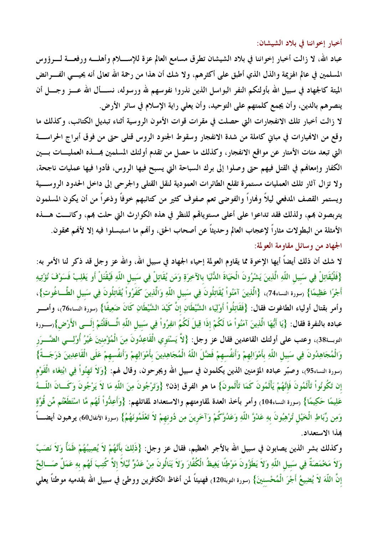أخبار إخواننا في بلاد الشيشان:

عباد الله، لا زالت أخبار إخواننا في بلاد الشيشان تطرق مسامع العالم عزة للإســــلام وأهلــــه ورفعــــة لــــرؤوس المسلمين في عالم الهزيمة والذل الذي أطبق على أكثرهم، ولا شك أن هذا من رحمة الله تعالى أنه يحيــــي الفــــرائض الميتة كالجهاد في سبيل الله بأولئكم النفر البواسل الذين نذروا نفوسهم لله ورسوله، نســـأل الله عـــز وجـــل أن ينصرهم بالدين، وأن يجمع كلمتهم على التوحيد، وأن يعلي راية الإسلام في سائر الأرض.

لا زالت أخبار تلك الانفجارات التي حصلت في مقرات قوات الأمون الروسية أثناء تبديل الكتائب، وكذلك ما وقع من الافميارات في مباني كاملة من شدة الانفجار وسقوط الجنود الروس قتلبي حتى من فوق أبراج الحراســة التي تبعد مئات الأمتار عن مواقع الانفجار، وكذلك ما حصل من تقدم أولئك المسلمين بمسذه العمليــات بـــين الكفار وإمعالهم في القتل فيهم حتى وصلوا إلى برك السباحة التي يسبح فيها الروس، فأدوا فيها عمليات ناجحة، ولا تزال آثار تلك العمليات مستمرة تقلع الطائرات العمودية لنقل القتلى والجرحى إلى داخل الحدود الروســية ويستمر القصف المدفعي ليلاً وفماراً والفوضى تعم صفوف كثير من كتائبهم خوفاً وذعراً من أن يكون المسلمون يتربصون بمم، ولذلك فقد تداعوا على أعلى مستوياقم للنظر في هذه الكوارث التي حلت بمم، وكانـــت هـــذه الأمثلة من البطولات مثاراً لإعجاب العالم وحديثاً عن أصحاب الحق، وألهم ما استبسلوا فيه إلا لألهم محقون. الجهاد من وسائل مقاومة العولمة:

لا شك أن ذلك أيضاً أيها الإخوة مما يقاوم العولمة إحياء الجهاد في سبيل الله، والله عز وجل قد ذكر لنا الأمر به: {فَلْيُقَاتِلْ فِي سَبيلِ اللّهِ الَّذِينَ يَشْرُونَ الْحَيَاةَ الدُّنْيَا بالآخِرَةِ وَمَن يُقَاتِلْ فِي سَبيلِ اللّهِ فَيُقْتَلْ أَو يَغْلِبْ فَسَوْفَ نُؤْتِيهِ أَجْرًا عَظِيمًا} (سورة النساء74)، {الَّذِينَ آمَنُواْ يُقَاتِلُونَ فِي سَبيلِ اللَّهِ وَالَّذِينَ كَفَرُواْ يُقَاتِلُونَ فِي سَبيلِ الطَّــاغُوتِ}، وأمر بقتال أولياء الطاغوت فقال: {فَقَاتِلُواْ أَوْلِيَاء الشَّيْطَانِ إنَّ كَيْدَ الشَّيْطَانِ كَانَ ضَعِيفًا} (سورة النساء76)، وأمــــر عباده بالنفرة فقال: {يَا أَيُّهَا الَّذِينَ آمَنُواْ مَا لَكُمْ إذَا قِيلَ لَكُمُ انفِرُواْ فِي سَبيل اللّهِ اثَّــاقَلْتُمْ إلَـــي الأَرْض}رســورة التوبـة38)، وعتب على أولئك القاعدين فقال عز وجل: {لاَّ يَسْتَوي الْقَاعِدُونَ مِنَ الْمُؤْمِنِينَ غَيْرُ أُوْلِــي الضَّـــرَر وَالْمُجَاهِدُونَ فِي سَبيلِ اللّهِ بأَمْوَالِهِمْ وَأَنفُسهمْ فَضَّلَ اللّهُ الْمُجَاهِدِينَ بأَمْوَالِهِمْ وَأنفُسهمْ عَلَى الْقَاعِدِينَ دَرَجَـــةً} <sub>(</sub>سورة النساء95)، وصبّر عباده المؤمنين الذين يكلمون في سبيل الله ويجرحون، وقال لهم: {وَلاَ تَهِنُواْ فِي ابْتِغَاء الْقَوْم إن تَكُونُواْ تَأْلَمُونَ فَإِنَّهُمْ يَأْلَمُونَ كَمَا تَأْلَمونَ} ما هو الفرق إذن؟ {وَتَرْجُونَ مِنَ اللّهِ مَا لاَ يَرْجُونَ وَكَــانَ اللّـــهُ عَلِيمًا حَكِيمًا} رسورة النساء104، وأمر بأخذ العدة لمقاومتهم والاستعداد لمقاتلهم: {وَأَعِدُّواْ لَهُم مَّا اسْتَطَعْتُم مِّن قُوَّةٍ وَمِن رِّبَاطِ الْخَيْلِ تُرْهِبُونَ بهِ عَدْوَّ اللّهِ وَعَدُوَّكُمْ وَآخَرينَ مِن دُونهمْ لاَ تَعْلَمُونَهُمُ} (سورة الأنفال60) يرهبون أيضـــــاً هذا الاستعداد.

وكذلك بشر الذين يصابون في سبيل الله بالأجر العظيم، فقال عز وجل: {ذَلِكَ بأَنَّهُمْ لاَ يُصِيبُهُمْ ظَمَأْ وَلاَ نَصَبّْ وَلاَ مَحْمَصَةٌ فِي سَبِيلِ اللّهِ وَلاَ يَطَؤُونَ مَوْطِئًا يَغِيظُ الْكُفَّارَ وَلاَ يَنَالُونَ مِنْ عَدُوٍّ تَيْلاً إلاَّ كُتِبَ لَهُم بهِ عَمَلٌ صَـــالِحٌ إنَّ اللَّهَ لاَ يُضِيعُ أَجْرَ الْمُحْسنينَ} (سورة التوبة120) فهنيئاً لمن أغاظ الكافرين ووطئ في سبيل الله بقدميه موطناً يعلي